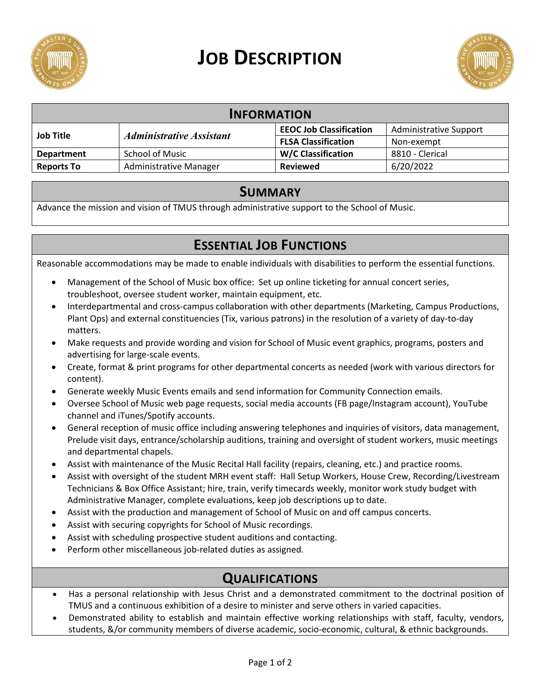

# **JOB DESCRIPTION**



| <b>INFORMATION</b> |                                        |                                |                               |
|--------------------|----------------------------------------|--------------------------------|-------------------------------|
| <b>Job Title</b>   | <i><b>Administrative Assistant</b></i> | <b>EEOC Job Classification</b> | <b>Administrative Support</b> |
|                    |                                        | <b>FLSA Classification</b>     | Non-exempt                    |
| <b>Department</b>  | <b>School of Music</b>                 | <b>W/C Classification</b>      | 8810 - Clerical               |
| <b>Reports To</b>  | <b>Administrative Manager</b>          | <b>Reviewed</b>                | 6/20/2022                     |

#### **SUMMARY**

Advance the mission and vision of TMUS through administrative support to the School of Music.

## **ESSENTIAL JOB FUNCTIONS**

Reasonable accommodations may be made to enable individuals with disabilities to perform the essential functions.

- Management of the School of Music box office: Set up online ticketing for annual concert series, troubleshoot, oversee student worker, maintain equipment, etc.
- Interdepartmental and cross-campus collaboration with other departments (Marketing, Campus Productions, Plant Ops) and external constituencies (Tix, various patrons) in the resolution of a variety of day-to-day matters.
- Make requests and provide wording and vision for School of Music event graphics, programs, posters and advertising for large-scale events.
- Create, format & print programs for other departmental concerts as needed (work with various directors for content).
- Generate weekly Music Events emails and send information for Community Connection emails.
- Oversee School of Music web page requests, social media accounts (FB page/Instagram account), YouTube channel and iTunes/Spotify accounts.
- General reception of music office including answering telephones and inquiries of visitors, data management, Prelude visit days, entrance/scholarship auditions, training and oversight of student workers, music meetings and departmental chapels.
- Assist with maintenance of the Music Recital Hall facility (repairs, cleaning, etc.) and practice rooms.
- Assist with oversight of the student MRH event staff: Hall Setup Workers, House Crew, Recording/Livestream Technicians & Box Office Assistant; hire, train, verify timecards weekly, monitor work study budget with Administrative Manager, complete evaluations, keep job descriptions up to date.
- Assist with the production and management of School of Music on and off campus concerts.
- Assist with securing copyrights for School of Music recordings.
- Assist with scheduling prospective student auditions and contacting.
- Perform other miscellaneous job-related duties as assigned.

### **QUALIFICATIONS**

- Has a personal relationship with Jesus Christ and a demonstrated commitment to the doctrinal position of TMUS and a continuous exhibition of a desire to minister and serve others in varied capacities.
- Demonstrated ability to establish and maintain effective working relationships with staff, faculty, vendors, students, &/or community members of diverse academic, socio-economic, cultural, & ethnic backgrounds.